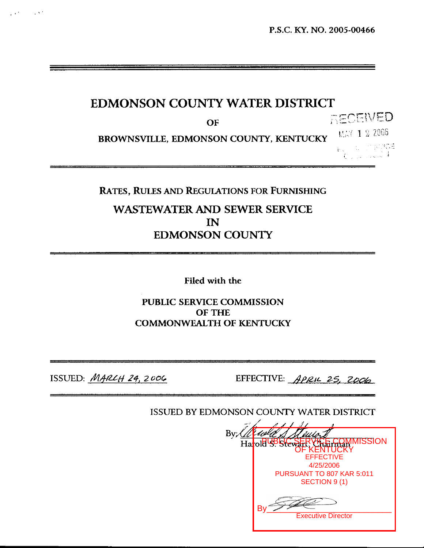# **EDMONSON COUNTY WATER DISTRICT**

**OF** 

RECEWED MAY 1 2 2006

**BROWNSVILLE, EDMONSON COUNTY, KENTUCKY EXAMPLE AND STREAMS** 

Collaborato

### **RATES, RULES AND REGULATIONS FOR FURNISHING**

# **WASTEWATER AND SEWER SERVICE IN EDMONSON COUNTY**

**Filed** with **the** 

## **PUBLIC SERVICE COMMISSION OF THE COMMONWEALTH OF KENTUCKY**

 $\sim 100$  M  $^2$ 

ISSUED: *MARLH 24, 2006* EFFECTIVE: *APRIL 25, 2006* 

ISSUED BY EDMONSON COUNTY WATER DISTRICT

| 1     1     1     1     1              |
|----------------------------------------|
|                                        |
| <b>ISSION</b><br>Harold BBSIE<br>Urber |
| <b>KENTUCK</b>                         |
| <b>EFFECTIVE</b>                       |
| 4/25/2006                              |
| PURSUANT TO 807 KAR 5:011              |
| SECTION 9 (1)                          |
| <b>Executive Director</b>              |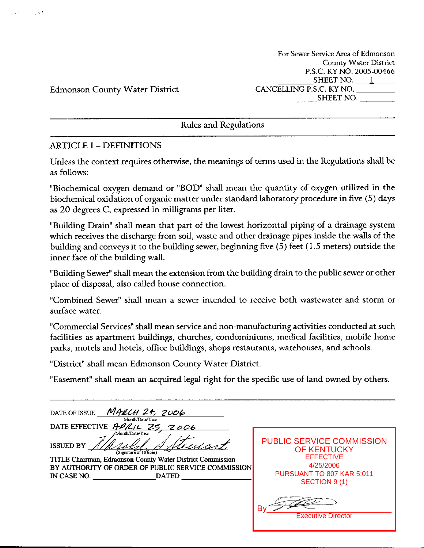**For Sewer Service Area of Edmonson County Water District P.S.C.** ICY **NO.** 2005-00466 **SHEET NO.** 1 **CANCELLING P.S.C. KY NO. SHEET NO.** 

Edmonson County Water District

 $\sim 20$ 

Rules and Regulations

## ARTICLE I - DEFINITIONS

Unless the context requires otherwise, the meanings of terms used in the Regulations shall be as follows:

"Biochemical oxygen demand or "BOD' shall mean the quantity of oxygen utilized in the biochemical oxidation of organic matter under standard laboratory procedure in five (5) days as 20 degrees C, expressed in milligrams per liter.

"Building Drain" shall mean that part of the lowest horizontal piping of a drainage system which receives the discharge from soil, waste and other drainage pipes inside the walls of the building and conveys it to the building sewer, beginning five (5) feet (1.5 meters) outside the inner face of the building wall.

"Building Sewer" shall mean the extension from the building drain to the public sewer or other place of disposal, also called house connection.

"Combined Sewer" shall mean a sewer intended to receive both wastewater and storm or surface water.

"Commercial Services" shall mean service and non-manufacturing activities conducted at such facilities as apartment buildings, churches, condominiums, medical facilities, mobile home parks, motels and hotels, office buildings, shops restaurants, warehouses, and schools.

"District" shall mean Edmonson County Water District

"Easement" shall mean an acquired legal right for the specific use of land owned by others.

| <b>MARCH 24, 2006</b><br>DATE OF ISSUE<br>Month/Date/Year<br>DATE EFFECTIVE $A\nu C/L$<br>2006                                                                                                                                  |                                                                                                                                       |
|---------------------------------------------------------------------------------------------------------------------------------------------------------------------------------------------------------------------------------|---------------------------------------------------------------------------------------------------------------------------------------|
| Month/Date/Year<br><b>ISSUED BY</b><br><u>usant</u><br>(Signature of Officer)<br>TITLE Chairman, Edmonson County Water District Commission<br>BY AUTHORITY OF ORDER OF PUBLIC SERVICE COMMISSION<br>IN CASE NO.<br><b>DATED</b> | <b>PUBLIC SERVICE COMMISSION</b><br><b>OF KENTUCKY</b><br><b>EFFECTIVE</b><br>4/25/2006<br>PURSUANT TO 807 KAR 5:011<br>SECTION 9 (1) |
|                                                                                                                                                                                                                                 | B١<br><b>Executive Director</b>                                                                                                       |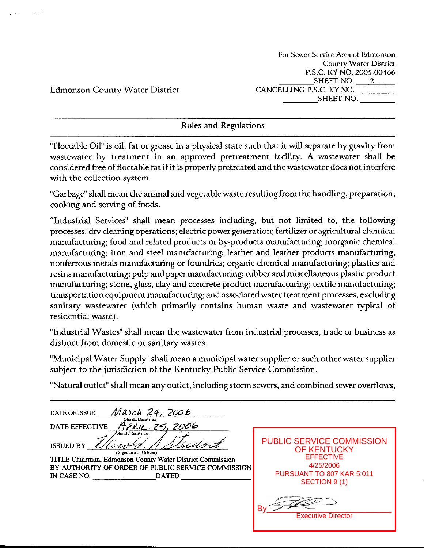For Sewer Service **Area** of Edmonson **County Water** District P.S.C. **KY** NO. ZOOS-00466 SHEETNO. *2*  CANCELLING P.S.C. **KY NO.** SHEET NO.

Edmonson County Water District

Rules and Regulations

"Floctable Oil" is oil, fat or grease in a physical state such that it will separate by gravity from wastewater by treatment in an approved pretreatment facility. **A** wastewater shall be considered free of floctable fat if it is properly pretreated and the wastewater does not interfere with the collection system.

"Garbage" shall mean the animal andvegetable waste resulting from the handling, preparation, cooking and serving of foods.

"Industrial Services" shall mean processes including, but not limited to, the following processes: *dry* cleaning operations; electric power generation; fertilizer or agricultural chemical manufacturing; food and related products or by-products manufacturing; inorganic chemical manufacturing; iron and steel manufacturing; leather and leather products manufacturing; nonferrous metals manufacturing or foundries; organic chemical manufacturing; plastics and resins manufacturing; pulp and paper manufacturing; rubber and miscellaneous plastic product manufacturing; stone, glass, clay and concrete product manufacturing; textile manufacturing; transportation equipment manufacturing; and associated water treatment processes, excluding sanitary wastewater (which primarily contains human waste and wastewater typical of residential waste).

"Industrial Wastes" shall mean the wastewater from industrial processes, trade or business as distinct from domestic or sanitary wastes.

"Municipal Water Supply" shall mean a municipal water supplier or such other water supplier subject to the jurisdiction of the Kentucky Public Service Commission.

"Natural outlet" shall mean any outlet, including storm sewers, and combined sewer overflows,

**DATE** OF **ISSUE** *Ma,& 2el 2006*  Month/Date/Year **DATE EFFECTIVE** *fi/ LL 25, 20 06*  ISSUED BY **TITLE Chairman, Edmonson County Water District Commission** BY **AUTHORITY OF ORDER OF PUBLIC SERVICE COMMISSION IN CASE NO. DATED (Signature of Officer)** PUBLIC SERVICE COMMISSION OF KENTUCKY **EFFECTIVE** 4/25/2006 PURSUANT TO 807 KAR 5:011 SECTION 9 (1) By\_\_\_\_\_\_\_\_\_\_\_\_\_\_\_\_\_\_\_\_\_\_\_\_\_\_\_ Executive Director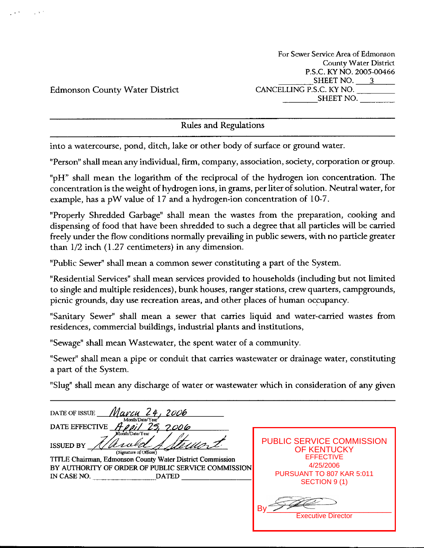**For Sewer Service Area of Edmonson**  Countv **Water District**  P.S.C. KY NO. 2005-00466 SHEETNO. *3*  CANCELLING P.S.C. KY NO. SHEET NO.

Edmonson County Water District

Rules and Regulations

into a watercourse, pond, ditch, lalce or other body of surface or ground water.

"Person" shall mean any individual, **firm,** company, association, society, corporation or group.

"pH" shall mean the logarithm of the reciprocal of the hydrogen ion concentration. The concentration is the weight of hydrogen ions, in grams, per liter of solution. Neutral water, for example, has a pW value of 17 and a hydrogen-ion concentration of 10-7.

"Properly Shredded Garbage" shall mean the wastes from the preparation, cooking and dispensing of food that have been shredded to such a degree that all particles will be carried freely under the flow conditions normally prevailing in public sewers, with no particle greater than 1/2 inch (1.27 centimeters) in any dimension.

"Public Sewer" shall mean a common sewer constituting a part of the System.

"Residential Services" shall mean services provided to households (including but not limited to single and multiple residences), bunk houses, ranger stations, crew quarters, campgrounds, picnic grounds, day use recreation areas, and other places of human occupancy.

"Sanitary Sewer" shall mean a sewer that carries liquid and water-canied wastes from residences, commercial buildings, industrial plants and institutions,

"Sewage" shall mean Wastewater, the spent water of a community.

"Sewer" shall mean a pipe or conduit that carries wastewater or drainage water, constituting a part of the System.

"Slug" shall mean any discharge of water or wastewater which in consideration of any given

<u>Marcu 24,</u> DATE OF ISSUE 2006 Month/Date/Year April 25, 2006 DATE EFFECTIVE PUBLIC SERVICE COMMISSION **ISSUED BY** OF KENTUCKY (Signature of Officer) **EFFECTIVE TITLE Chairman, Edmonson County Water District Commission** 4/25/2006 **BY AUTHORITY OF** ORDER **OF PUBLIC** SERVICE **COMMISSION**  PURSUANT TO 807 KAR 5:011 IN **CASE NO. DATED**  SECTION 9 (1) By\_\_\_\_\_\_\_\_\_\_\_\_\_\_\_\_\_\_\_\_\_\_\_\_\_\_\_ Executive Director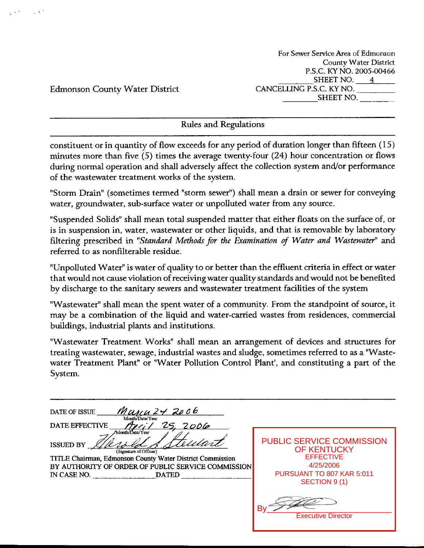For Sewer Service Area *of* Edmonson County Water District P.S.C. ICY NO. 2005-00466 SHEET NO.  $4$ CANCELLING P.S.C. KY NO. **SHEET** NO.

Edmonson County Water District

Rules and Regulations

constituent or in quantity of flow exceeds for any period of duration longer than fifteen (15) minutes more than five (5) times the average twenty-four (24) hour concentration or flows during normal operation and shall adversely affect the collection system and/or performance of the wastewater treatment works of the system.

"Storm Drain" (sometimes termed "storm sewer") shall mean a drain or sewer for conveying water, groundwater, sub-surface water or unpolluted water from any source.

"Suspended Solids" shall mean total suspended matter that either floats on the surface of, or is in suspension in, water, wastewater or other liquids, and that is removable by laboratory filtering prescribed in *"Standard Methods for the Eramination* of *Water and Wastewater"* and referred to as nonfilterable residue.

"Unpolluted Water" is water of quality to or better than the effluent criteria in effect or water that would not cause violation of receiving water quality standards and would not be benefited by discharge to the sanitary sewers and wastewater treatment facilities of the system

"Wastewater" shall mean the spent water of a community. From the standpoint of source, it may be a combination of the liquid and water-carried wastes from residences, commercial buildings, industrial plants and institutions.

"Wastewater Treatment Works" shall mean an arrangement of devices and structures for treating wastewater, sewage, industrial wastes and sludge, sometimes referred to as a "Wastewater Treatment Plant" or "Water Pollution Control Plant', and constituting a part of the system.

| UNIU 24 2006<br>DATE OF ISSUE<br>Month/Date/Year                                                                                                                                                                          |                                                                                                                                |
|---------------------------------------------------------------------------------------------------------------------------------------------------------------------------------------------------------------------------|--------------------------------------------------------------------------------------------------------------------------------|
| <b>DATE EFFECTIVE</b><br><u>2006</u>                                                                                                                                                                                      |                                                                                                                                |
| Month/Date/Year<br>rulare<br><b>ISSUED BY</b><br>(Signature of Officer)<br>TITLE Chairman, Edmonson County Water District Commission<br>BY AUTHORITY OF ORDER OF PUBLIC SERVICE COMMISSION<br>IN CASE NO.<br><b>DATED</b> | <b>PUBLIC SERVICE COMMISSION</b><br>OF KENTUCKY<br><b>EFFECTIVE</b><br>4/25/2006<br>PURSUANT TO 807 KAR 5:011<br>SECTION 9 (1) |
|                                                                                                                                                                                                                           | B٧<br><b>Executive Director</b>                                                                                                |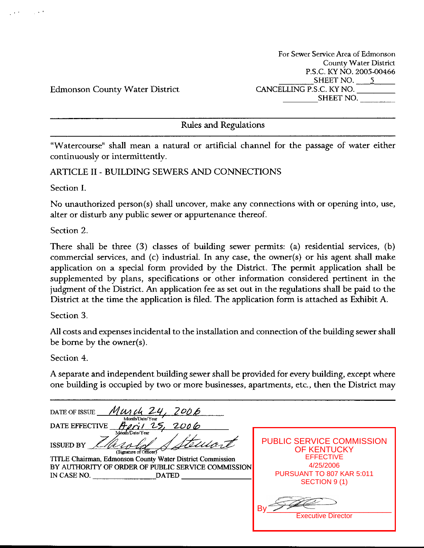For **Sewer Service Area** *of* Edmonson Countv **Water District**  P.S.C. KY NO. 2005-00466 SHEETNO. *5*  CANCELLING P.S.C. KY NO. SHEET NO.

Edmonson County Water District

Rules and Regulations

"Watercourse" shall mean a natural or artificial channel for the passage of water either continuously or intermittently.

ARTICLE I1 - BUILDING SEWERS AND CONNECTIONS

Section I.

 $\sim 10^{-4}$ 

No unauthorized person(s) shall uncover, make any connections with or opening into, use, alter or disturb any public sewer or appurtenance thereof.

Section 2.

There shall be three *(3)* classes of building sewer permits: (a) residential services, (b) commercial services, and (c) industrial. In any case, the owner(s) or his agent shall make application on a special form provided by the District. The permit application shall be supplemented by plans, specifications or other information considered pertinent in the judgment of the District. *An* application fee as set out in the regulations shall be paid to the District at the time the application is filed. The application form is attached as Exhibit **A.** 

Section *3* 

All costs and expenses incidental to the installation and connection of the building sewer shall be borne by the owner(s).

Section 4.

**A** separate and independent building sewer shall be provided for every building, except where one building is occupied by two or more businesses, apartments, etc., then the District may

| 200 B<br>DATE OF ISSUE<br>Month/Date/Year                                                                                                                                                                                                                  |                                                                                                                                       |
|------------------------------------------------------------------------------------------------------------------------------------------------------------------------------------------------------------------------------------------------------------|---------------------------------------------------------------------------------------------------------------------------------------|
| 2006<br><b>DATE EFFECTIVE</b><br>Month/Date/Year<br>suivit<br><b>ISSUED BY</b><br>(Signature of Officer)<br>TITLE Chairman, Edmonson County Water District Commission<br>BY AUTHORITY OF ORDER OF PUBLIC SERVICE COMMISSION<br>IN CASE NO.<br><b>DATED</b> | <b>PUBLIC SERVICE COMMISSION</b><br><b>OF KENTUCKY</b><br><b>EFFECTIVE</b><br>4/25/2006<br>PURSUANT TO 807 KAR 5:011<br>SECTION 9 (1) |
|                                                                                                                                                                                                                                                            | B٧<br><b>Executive Director</b>                                                                                                       |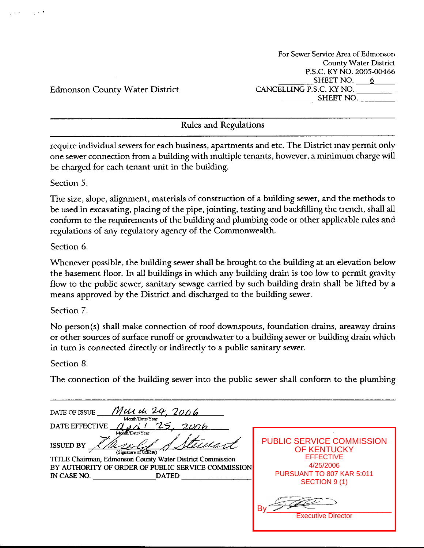For **Sewer Service Area of** Edmonson **Countv Water District P.S.C.** KYNO. 2oOS-QQ466 SHEET NO.  $6$ **CANCELLING P.S.C.** KY NO. **SHEET** NO.

Edmonson County Water District

Rules and Regulations

require individual sewers for each business, apartments and etc. The District may permit only one sewer connection from a building with multiple tenants, however, a minimum charge will be charged for each tenant unit in the building.

Section 5.

العارب

The size, slope, alignment, materials of construction of a building sewer, and the methods to be used in excavating, placing of the pipe, jointing, testing and baddilling the trench, shall **all**  conform to the requirements of the building and plumbing code or other applicable rules and regulations of any regulatory agency of the Commonwealth.

Section 6.

Whenever possible, the building sewer shall be brought to the building at an elevation below the basement floor. In all buildings in which any building drain is too low to permit gravity flow to the public sewer, sanitary sewage carried by such building drain shall be lifted by a means approved by the District and discharged to the building sewer.

Section 7

No person(s) shall make connection of roof downspouts, foundation drains, areaway drains or other sources of surface runoff or groundwater to a building sewer or building drain which in turn is connected directly or indirectly to a public sanitary sewer.

Section 8.

The connection of the building sewer into the public sewer shall conform to the plumbing

| Mur de 24, 2006<br>DATE OF ISSUE<br>Month/Date/Year<br><b>DATE EFFECTIVE</b>                                                                                                                                              |                                                                                                                                       |
|---------------------------------------------------------------------------------------------------------------------------------------------------------------------------------------------------------------------------|---------------------------------------------------------------------------------------------------------------------------------------|
| Month/Date/Year<br>'ecuant<br><b>ISSUED BY</b><br>(Signature of Officer<br>TITLE Chairman, Edmonson County Water District Commission<br>BY AUTHORITY OF ORDER OF PUBLIC SERVICE COMMISSION<br>IN CASE NO.<br><b>DATED</b> | <b>PUBLIC SERVICE COMMISSION</b><br><b>OF KENTUCKY</b><br><b>EFFECTIVE</b><br>4/25/2006<br>PURSUANT TO 807 KAR 5:011<br>SECTION 9 (1) |
|                                                                                                                                                                                                                           | Β١<br><b>Executive Director</b>                                                                                                       |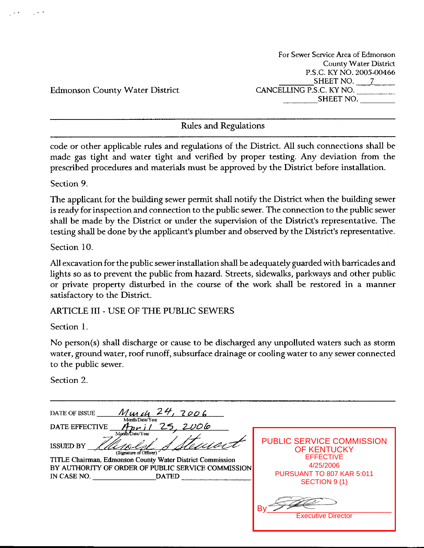For Sewer Service **Area** *of* Edrnonson County **Water District P.S.C.** ICY NO. 2005-00466 SHEET NO. 7 CANCELLING P.S.C. KY NO. SHEET NO.

Edmonson County Water District

Rules and Regulations

code or other applicable rules and regulations of the District. All such connections shall be made gas tight and water tight and verified by proper testing. Any deviation from the prescribed procedures and materials must be approved by the District before installation.

Section **9.** 

The applicant for the building sewer permit shall notify the District when the building sewer **is** ready for inspection and connection to the public sewer. The connection to the public sewer shall be made by the District or under the supervision of the District's representative. The testing shall be done by the applicant's plumber and observed by the District's representative.

Section 10.

All excavation for the public sewer installation shall be adequately guarded with barricades and lights so as to prevent the public from hazard. Streets, sidewalks, parkways and other public or private property disturbed in the course of the work shall be restored in a manner satisfactory to the District.

ARTICLE **111** - USE OF THE PUBLIC SEWERS

Section 1.

No person(s) shall discharge or cause to be discharged any unpolluted waters such as storm water, ground water, roof runoff, subsurface drainage or cooling water to any sewer connected to the public sewer.

Section 2

| 7006<br>DATE OF ISSUE<br>Murch<br>Month/Date/Year<br>2006<br>DATE EFFECTIVE                                                                                                                                     |                                                                                                                                       |
|-----------------------------------------------------------------------------------------------------------------------------------------------------------------------------------------------------------------|---------------------------------------------------------------------------------------------------------------------------------------|
| Month/Date/Year<br><b>ISSUED BY</b><br>(Signature of Officer)<br>TITLE Chairman, Edmonson County Water District Commission<br>BY AUTHORITY OF ORDER OF PUBLIC SERVICE COMMISSION<br>IN CASE NO.<br><b>DATED</b> | <b>PUBLIC SERVICE COMMISSION</b><br><b>OF KENTUCKY</b><br><b>EFFECTIVE</b><br>4/25/2006<br>PURSUANT TO 807 KAR 5:011<br>SECTION 9 (1) |
|                                                                                                                                                                                                                 | Bν<br><b>Executive Director</b>                                                                                                       |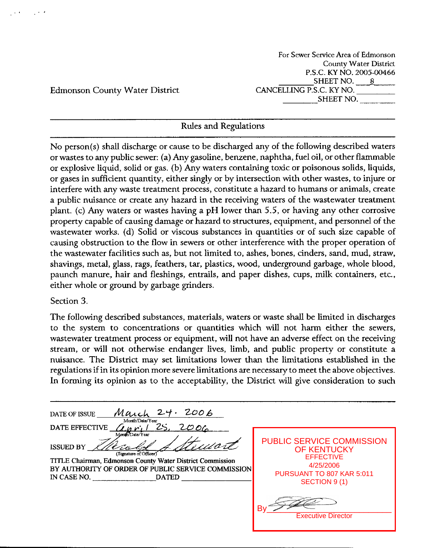For Sewer Service Area of Edmonson County Water District P.S.C. KY NO. 2005-00466 SHEET NO. 8 CANCELLING P.S.C. ICY NO. SHEET NO.

Edmonson County Water District

### Rules and Regulations

No person(s) shall discharge or cause to be discharged any of the following described waters or wastes to any public sewer: (a) Any gasoline, benzene, naphtha, fuel oil, or other flammable or explosive liquid, solid or gas. (b) Any waters containing toxic or poisonous solids, liquids, or gases in sufficient quantity, either singly or by intersection with other wastes, to injure or interfere with any waste treatment process, constitute a hazard to humans or animals, create a public nuisance or create any hazard in the receiving waters of the wastewater treatment plant. (c) Any waters or wastes having a pH lower than 5.5, or having any other corrosive property capable of causing damage or hazard to structures, equipment, and personnel of the wastewater works. (d) Solid or viscous substances in quantities or of such size capable of causing obstruction to the flow in sewers or other interference with the proper operation of the wastewater facilities such as, but not limited to, ashes, bones, cinders, sand, mud, straw, shavings, metal, glass, rags, feathers, tar, plastics, wood, underground garbage, whole blood, paunch manure, hair and fleshings, entrails, and paper dishes, cups, milk containers, etc., either whole or ground by garbage grinders.

#### Section *3.*

The following described substances, materials, waters or waste shall be limited in discharges to the system to concentrations or quantities which will not harm either the sewers, wastewater treatment process or equipment, will not have an adverse effect on the receiving stream, or will not otherwise endanger lives, limb, and public property or constitute a nuisance. The District may set limitations lower than the limitations established in the regulations if in its opinion more severe limitations are necessary to meet the above objectives. In forming its opinion as to the acceptability, the District will give consideration to such

| 24.<br>March<br>2006<br>DATE OF ISSUE<br>Month/Date/Year<br>25.<br>200 <sub>6</sub><br><b>DATE EFFECTIVE</b>                                                                                                            |                                                                                                                                       |
|-------------------------------------------------------------------------------------------------------------------------------------------------------------------------------------------------------------------------|---------------------------------------------------------------------------------------------------------------------------------------|
| Month/Date/Year<br>ust.<br><b>ISSUED BY</b><br>(Signature of Officer)<br>TITLE Chairman, Edmonson County Water District Commission<br>BY AUTHORITY OF ORDER OF PUBLIC SERVICE COMMISSION<br>IN CASE NO.<br><b>DATED</b> | <b>PUBLIC SERVICE COMMISSION</b><br><b>OF KENTUCKY</b><br><b>EFFECTIVE</b><br>4/25/2006<br>PURSUANT TO 807 KAR 5:011<br>SECTION 9 (1) |
|                                                                                                                                                                                                                         | B٧<br><b>Executive Director</b>                                                                                                       |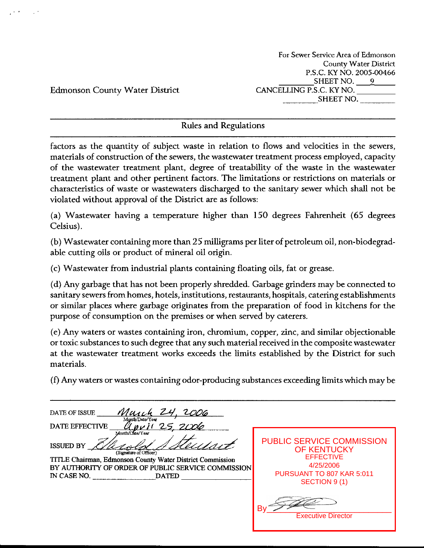For **Sewer Service Area** of Edmonson **County Water District P.S.C.** ICY NO. 2005-00466 SHEET NO.  $9$ CANCELLING P.S.C. ICY NO. SHEET NO.

Edmonson County Water District

#### Rules and Regulations

factors as the quantity of subject waste in relation to flows and velocities in the sewers, materials of construction of the sewers, the wastewater treatment process employed, capacity of the wastewater treatment plant, degree of treatability of the waste in the wastewater treatment plant and other pertinent factors. The limitations or restrictions on materials or characteristics of waste or wastewaters discharged to the sanitary sewer which shall not be violated without approval of the District are as follows:

(a) Wastewater having a temperature higher than 150 degrees Fahrenheit (65 degrees Celsius).

(b) Wastewater containing more than 25 milligrams per liter of petroleum oil, non-biodegradable cutting oils or product of mineral oil origin.

(c) Wastewater from industrial plants containing floating oils, fat or grease.

(d) Any garbage that has not been properly shredded. Garbage grinders may be connected to sanitary sewers from homes, hotels, institutions, restaurants, hospitals, catering establishments or similar places where garbage originates from the preparation of food in kitchens for the purpose of consumption on the premises or when served by caterers.

(e) Any waters or wastes containing iron, chromium, copper, zinc, and similar objectionable or toxic substances to such degree that any such material received in the composite wastewater at the wastewater treatment works exceeds the limits established by the District for such materials.

*(f)* Any waters or wastes containing odor-producing substances exceeding limits which may be

| DATE OF ISSUE<br>Month/Date/Year                                                                                                                                                                                                               |                                                                                                                                       |
|------------------------------------------------------------------------------------------------------------------------------------------------------------------------------------------------------------------------------------------------|---------------------------------------------------------------------------------------------------------------------------------------|
| <b>DATE EFFECTIVE</b><br>クラ<br>Month/Date/Year<br><b>ISSUED BY</b><br>(Signature of Officer)<br>TITLE Chairman, Edmonson County Water District Commission<br>BY AUTHORITY OF ORDER OF PUBLIC SERVICE COMMISSION<br>IN CASE NO.<br><b>DATED</b> | <b>PUBLIC SERVICE COMMISSION</b><br><b>OF KENTUCKY</b><br><b>EFFECTIVE</b><br>4/25/2006<br>PURSUANT TO 807 KAR 5:011<br>SECTION 9 (1) |
|                                                                                                                                                                                                                                                | Bv<br><b>Executive Director</b>                                                                                                       |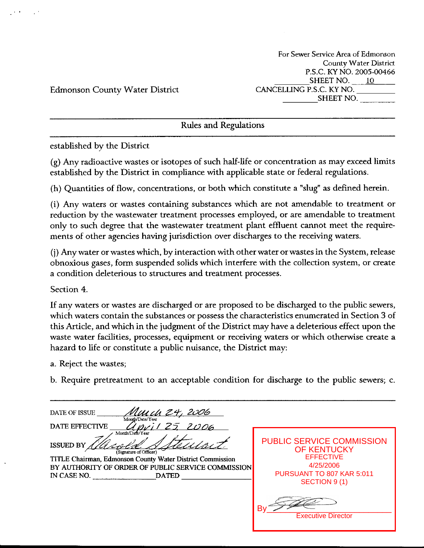For Sewer Service Area of Edmonson Countv Water District P.S.C. KY NO. 2005-00466 SHEET NO.  $10$ CANCELLING P.S.C. **KY** NO. SHEET NO.

Edmonson County Water District

Rules and Regulations

established by the District

(g) Any radioactive wastes or isotopes of such half-life or concentration as may exceed limits established by the District in compliance with applicable state or federal regulations.

(h) Quantities of flow, concentrations, or both which constitute a "slug" as defined herein.

(i) **Any** waters or wastes containing substances which are not amendable to treatment or reduction by the wastewater treatment processes employed, or are amendable to treatment only to such degree that the wastewater treatment plant effluent cannot meet the requirements of other agencies having jurisdiction over discharges to the receiving waters.

(j) Any water or wastes which, by interaction with other water or wastes in the System, release obnoxious gases, form suspended solids which interfere with the collection system, or create a condition deleterious to structures and treatment processes.

Section 4.

If any waters or wastes are discharged or are proposed to be discharged to the public sewers, which waters contain the substances or possess the characteristics enumerated in Section **3** of this Article, and which in the judgment of the District may have a deleterious effect upon the waste water facilities, processes, equipment or receiving waters or which otherwise create a hazard to life or constitute a public nuisance, the District may:

a. Reject the wastes;

b. Require pretreatment to an acceptable condition for discharge to the public sewers; c.

DATE OF ISSUE Mm dh 24, 2006 Month/Date/Year DATE EFFECTIVE PUBLIC SERVICE COMMISSION ISSUED BY  $\frac{1}{4}$ OF KENTUCKY (Signature of Officer) **EFFECTIVE** TITLE Chairman, Edmonson County Water District Commission 4/25/2006 **BY AUTHORITY** OF **ORDER** OF **PUBLIC SERVICE COMMISSION**  PURSUANT TO 807 KAR 5:011 IN **CASE NO. DATED**  SECTION 9 (1) By\_\_\_\_\_\_\_\_\_\_\_\_\_\_\_\_\_\_\_\_\_\_\_\_\_\_\_ Executive Director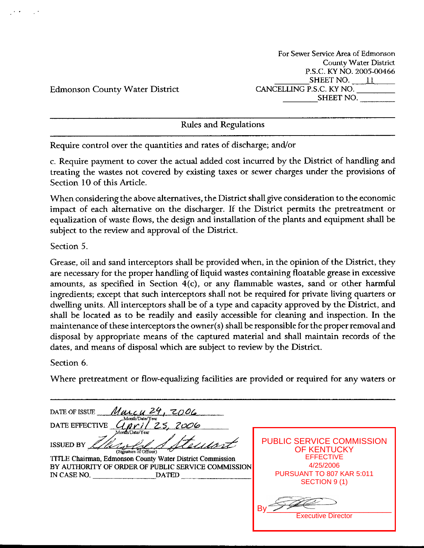**For Sewer Service Area of Edmonson County Water District P.S.C.** KYNO. **2005-00466**  SHEET NO.  $11$ CANCELLING **P.S.C.** KY NO. SHEET NO.

Edmonson County Water District

Rules and Regulations

Require control over the quantities and rates of discharge; and/or

c. Require payment to cover the actual added cost incurred by the District of handling and treating the wastes not covered by existing taxes or sewer charges under the provisions of Section 10 of this Article.

When considering the above alternatives, the District shall give consideration to the economic impact of each alternative on the discharger. If the District permits the pretreatment or equalization of waste flows, the design and installation of the plants and equipment shall be subject to the **review** and approval of the District.

Section 5.

Grease, oil and sand interceptors shall be provided when, in the opinion of the District, they are necessary for the proper handling of liquid wastes containing floatable grease in excessive amounts, as specified in Section 4(c), or any flammable wastes, sand or other harmful ingredients; except that such interceptors shall not be required for private living quarters or dwelling units. All interceptors shall be of a type and capacity approved by the District, and shall be located as to be readily and easily accessible for cleaning and inspection. In the maintenance of these interceptors the owner(s) shall be responsible for the properremoval and disposal by appropriate means of the captured material and shall maintain records of the dates, and means of disposal which are subject to review by the District.

Section 6.

Where pretreatment or flow-equalizing facilities are provided or required for any waters or

| Малеи 24, 2006<br>DATE OF ISSUE                              |                                                        |
|--------------------------------------------------------------|--------------------------------------------------------|
| Month/Date/Year<br>DATE EFFECTIVE<br>2006<br>Month/Date/Year |                                                        |
| <b>ISSUED BY</b><br>(Signature of Officer)                   | <b>PUBLIC SERVICE COMMISSION</b><br><b>OF KENTUCKY</b> |
| TITLE Chairman, Edmonson County Water District Commission    | <b>EFFECTIVE</b>                                       |
| BY AUTHORITY OF ORDER OF PUBLIC SERVICE COMMISSION           | 4/25/2006                                              |
| IN CASE NO.<br><b>DATED</b>                                  | PURSUANT TO 807 KAR 5:011                              |
|                                                              | SECTION 9 (1)                                          |
|                                                              |                                                        |
|                                                              | <b>Executive Director</b>                              |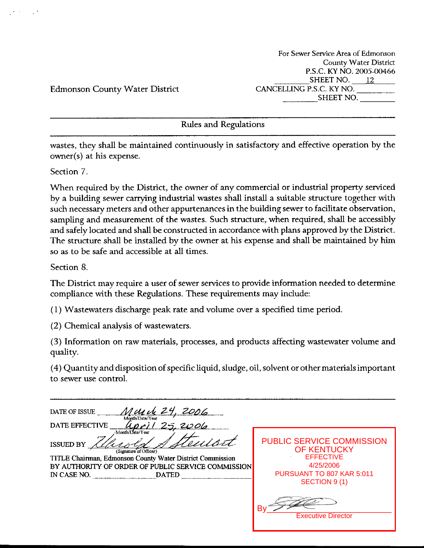For Sewer Service Area of Edrnonson County Water District P.S.C. KY NO. 2005-00466 SHEET NO. 12 CANCELLING P.S.C. KY NO. SHEET NO.

Edmonson County Water District

Rules and Regulations

wastes, they shall be maintained continuously in satisfactory and effective operation by the owner(s) at his expense.

Section 7.

When required by the District, the owner of any commercial or industrial property serviced by a building sewer carrying industrial wastes shall install a suitable structure together with such necessary meters and other appurtenances in the building sewer to facilitate observation, sampling and measurement of the wastes. Such structure, when required, shall be accessibly and safely located and shall be constructed in accordance with plans approved by the District. The structure shall be installed by the owner at his expense and shall be maintained by him *so* as to be safe and accessible at all times.

Section 8.

The District may require a user of sewer services to provide information needed to determine compliance with these Regulations. These requirements may include:

( 1) Wastewaters discharge peak rate and volume over a specified time period

(2) Chemical analysis of wastewaters.

**(3)** Information on raw materials, processes, and products affecting wastewater volume and quality.

(4) Quantity and disposition of specific liquid, sludge, oil, solvent or other materials important to sewer use control.

| 2006<br>DATE OF ISSUE<br>Month/Date/Year                                                                                                                                                                                 |                                                                                                                               |
|--------------------------------------------------------------------------------------------------------------------------------------------------------------------------------------------------------------------------|-------------------------------------------------------------------------------------------------------------------------------|
| <b>DATE EFFECTIVE</b><br>2006                                                                                                                                                                                            |                                                                                                                               |
| Month/Date/Year<br>Uliet<br><b>ISSUED BY</b><br>(Signature of Officer)<br>TITLE Chairman, Edmonson County Water District Commission<br>BY AUTHORITY OF ORDER OF PUBLIC SERVICE COMMISSION<br>IN CASE NO.<br><b>DATED</b> | <b>PUBLIC SERVICE COMMISSION</b><br>OF KENTUCKY<br><b>EFFECTIVE</b><br>4/25/2006<br>PURSUANT TO 807 KAR 5:011<br>SECTION 9(1) |
|                                                                                                                                                                                                                          | В١<br><b>Executive Director</b>                                                                                               |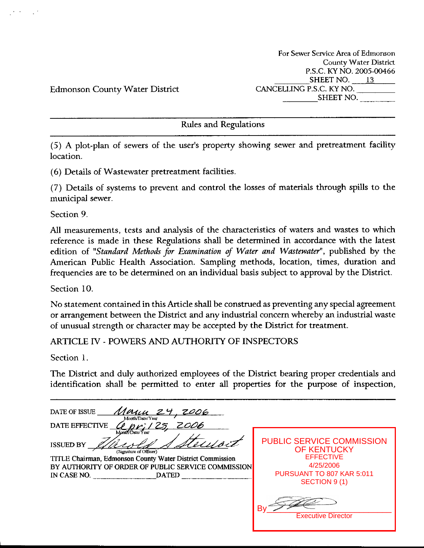Edmonson County Water District

Rules and Regulations

(5) **A** plot-plan of sewers of the user's property showing sewer and pretreatment facility location.

(6) Details of Wastewater pretreatment facilities.

(7) Details of systems to prevent and control the losses of materials through spills to the municipal sewer.

Section 9

All measurements, tests and analysis of the characteristics of waters and wastes to which reference is made in these Regulations shall be determined in accordance with the latest edition of "Standard Methods for *Examination of Water and Wastewater*", published by the American Public Health Association. Sampling methods, location, times, duration and frequencies are to be determined on an individual basis subject to approval by the District.

Section 10.

No statement contained in this Article shall be construed as preventing any special agreement or arrangement between the District and any industrial concern whereby an industrial waste of unusual strength or character may be accepted by the District for treatment.

ARTICLE IV - POWERS AND AUTHORITY OF INSPECTORS

Section **1.** 

The District and duly authorized employees of the District bearing proper credentials and identification shall be permitted to enter all properties for the purpose of inspection,

DATE OF ISSUE Manu **DATE EFFECTIVE** 0ri 125 PUBLIC SERVICE COMMISSION **ISSUED BY**  OF KENTUCKY *(Signature of Officer*) **EFFECTIVE** TITLE **Chairman, Edmonson Connty Water District Commission**  4/25/2006 **BY AUTHORITY OF ORDER OF PUBLIC SERVICE COMMISSION**  PURSUANT TO 807 KAR 5:011 IN **CASE NO. DATED**  SECTION 9 (1) By\_\_\_\_\_\_\_\_\_\_\_\_\_\_\_\_\_\_\_\_\_\_\_\_\_\_\_ Executive Director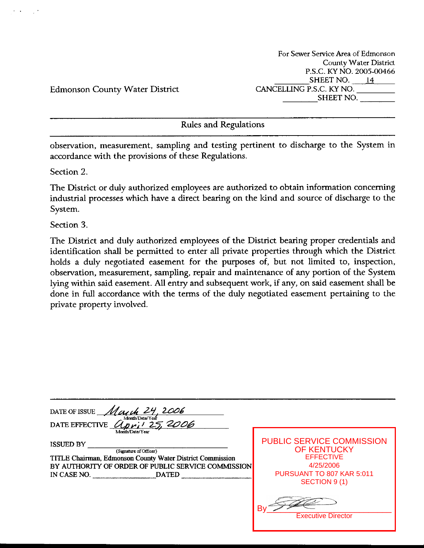For **Sewer Service Area** of Edmonson County **Water District**  P.S.C. ICY NO. 2005-00466 SHEET NO. 14 CANCELLING **P.S.C.** KY NO. SHEET NO.

Edmonson County Water District

Rules and Regulations

observation, measurement, sampling and testing pertinent to discharge to the System in accordance with the provisions of these Regulations.

Section 2.

The District or duly authorized employees are authorized to obtain information concerning industrial processes which have a direct bearing on the kind and source of discharge to the System.

Section **3.** 

The District and duly authorized employees of the District bearing proper credentials and identification shall be permitted to enter all private properties through which the District holds a duly negotiated easement for the purposes of, but not limited to, inspection, observation, measurement, sampling, repair and maintenance of any portion of the System lying within said easement. All entry and subsequent work, if any, on said easement shall be done in full accordance with the terms of the duly negotiated easement pertaining to the private property involved.

| 2006<br>DATE OF ISSUE                                                                                                                                                                        |                                                                                                                                       |
|----------------------------------------------------------------------------------------------------------------------------------------------------------------------------------------------|---------------------------------------------------------------------------------------------------------------------------------------|
| Month/Date/Year<br>25.2006<br><b>DATE EFFECTIVE</b>                                                                                                                                          |                                                                                                                                       |
| Month/Date/Year                                                                                                                                                                              |                                                                                                                                       |
| <b>ISSUED BY</b><br>(Signature of Officer)<br>TITLE Chairman, Edmonson County Water District Commission<br>BY AUTHORITY OF ORDER OF PUBLIC SERVICE COMMISSION<br>IN CASE NO.<br><b>DATED</b> | <b>PUBLIC SERVICE COMMISSION</b><br><b>OF KENTUCKY</b><br><b>EFFECTIVE</b><br>4/25/2006<br>PURSUANT TO 807 KAR 5:011<br>SECTION 9 (1) |
|                                                                                                                                                                                              | B٧<br><b>Executive Director</b>                                                                                                       |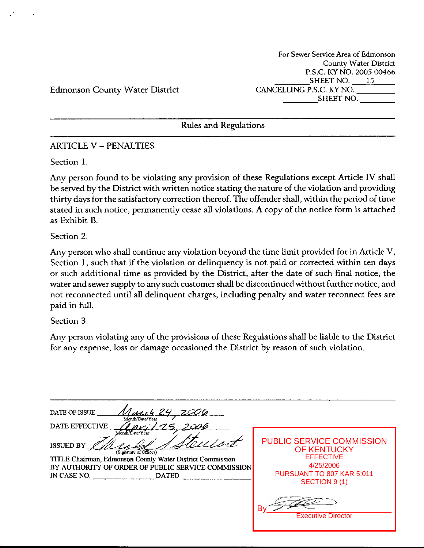For Sewer Service Area of Edmonson County Water District P.S.C. **I<Y** NO. 2005-00466 SHEET NO.  $15$ CANCELLING P.S.C. KY NO. SHEET NO.

Edmonson County Water District

Rules and Regulations

### ARTICLE **V** - PENALTIES

Section 1.

Any person found to be violating any provision of these Regulations except Article IV shall be served by the District with written notice stating the nature of the violation and providing thirty days for the satisfactory correction thereof. The offender shall, within the period of time stated in such notice, permanently cease all violations. **A** copy of the notice form is attached as Exhibit **B.** 

Section 2.

Any person who shall continue any violation beyond the time limit provided for in Article **V,**  Section 1, such that if the violation or delinquency is not paid or corrected within ten days or such additional time as provided by the District, after the date of such final notice, the water and sewer supply to any such customer shall be discontinued without further notice, and not reconnected until all delinquent charges, including penalty and water reconnect fees are paid in full.

Section **3.** 

Any person violating any of the provisions of these Regulations shall be liable to the District for any expense, **loss** or damage occasioned the District by reason of such violation.

| ZOO 6<br>DATE OF ISSUE<br>Month/Date/Year<br>I 006<br>DATE EFFECTIVE                                                                                                                                            |                                                                                                                                                                          |
|-----------------------------------------------------------------------------------------------------------------------------------------------------------------------------------------------------------------|--------------------------------------------------------------------------------------------------------------------------------------------------------------------------|
| Month/Date/Year<br><b>ISSUED BY</b><br>(Signature of Officer)<br>TITLE Chairman, Edmonson County Water District Commission<br>BY AUTHORITY OF ORDER OF PUBLIC SERVICE COMMISSION<br>IN CASE NO.<br><b>DATED</b> | <b>PUBLIC SERVICE COMMISSION</b><br><b>OF KENTUCKY</b><br><b>EFFECTIVE</b><br>4/25/2006<br>PURSUANT TO 807 KAR 5:011<br>SECTION 9 (1)<br>B٧<br><b>Executive Director</b> |
|                                                                                                                                                                                                                 |                                                                                                                                                                          |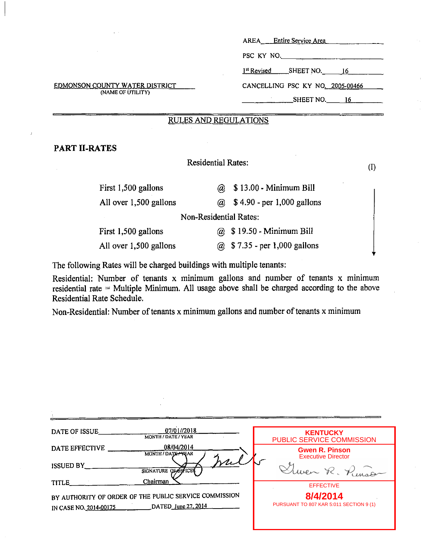|                                                            | Entire Service Area<br>AREA             |
|------------------------------------------------------------|-----------------------------------------|
|                                                            | PSC KY NO.                              |
|                                                            | $1st$ Revised SHEET NO. 16              |
| <b>EDMONSON COUNTY WATER DISTRICT</b><br>(NAME OF UTILITY) | CANCELLING PSC KY NO. 2005-00466        |
|                                                            | $SHEET NO.$ 16                          |
|                                                            | <b>RULES AND REGULATIONS</b>            |
|                                                            |                                         |
| PART II-RATES                                              |                                         |
|                                                            | <b>Residential Rates:</b>               |
|                                                            | (1)                                     |
| First 1,500 gallons                                        | \$13.00 - Minimum Bill<br>$\omega$      |
| All over 1,500 gallons                                     | ( $\alpha$ ) \$4.90 - per 1,000 gallons |
|                                                            | <b>Non-Residential Rates:</b>           |
| First 1,500 gallons                                        | @ \$19.50 - Minimum Bill                |
| All over 1,500 gallons                                     | $@$ \$ 7.35 - per 1,000 gallons         |

The following Rates will be charged buildings with multiple tenants:

Residential: Number of tenants  $x$  minimum gallons and number of tenants  $x$  minimum residential rate = Multiple Minimum. All usage above shall be charged according to the above Residential Rate Schedule.

Non-Residential: Number of tenants x minimum gallons and number of tenants x minimum

| 07/01//2018<br>DATE OF ISSUE<br>MONTH / DATE / YEAR    | <b>KENTUCKY</b>                         |
|--------------------------------------------------------|-----------------------------------------|
|                                                        | PUBLIC SERVICE COMMISSION               |
| 08/04/2014<br>DATE EFFECTIVE<br>MONTH / DATE TREAR     | <b>Gwen R. Pinson</b>                   |
|                                                        | <b>Executive Director</b>               |
| <b>ISSUED BY</b>                                       |                                         |
| SIGNATURE OF OFFICE                                    | Luca R. Pinson                          |
| Chairman<br>TITLE_                                     |                                         |
|                                                        | <b>EFFECTIVE</b>                        |
| BY AUTHORITY OF ORDER OF THE PUBLIC SERVICE COMMISSION | 8/4/2014                                |
| DATED June 27, 2014<br>IN CASE NO. 2014-00175          | PURSUANT TO 807 KAR 5:011 SECTION 9 (1) |
|                                                        |                                         |
|                                                        |                                         |
|                                                        |                                         |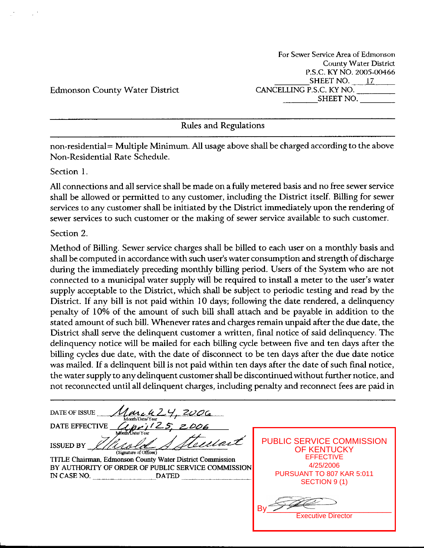For Sewer Service Area of Edmonson County Water District **P.S.C.** KY NO. 2005-00466 SHEET NO.  $17$ CANCELLING **P.S.C.** KY NO. SHEET NO.

Edmonson County Water District

Rules and Regulations

non-residential= Multiple Minimum. All usage above shall be charged according to the above Non-Residential Rate Schedule.

#### Section 1.

*All* connections and all sewice shall be made on a fully metered basis and no free sewer service shall be allowed or permitted to any customer, including the District itself. Billing for sewer services to any customer shall be initiated by the District immediately upon the rendering of sewer services to such customer or the making of sewer service available to such customer.

#### Section 2.

Method of Billing. Sewer service charges shall be billed to each user on a monthly basis and shall be computed in accordance with such user's water consumption and strength of discharge during the immediately preceding monthly billing period. Users of the System who are not connected to a municipal water supply will be required to install a meter to the user's water supply acceptable to the District, which shall be subject to periodic testing and read by the District. If any bill is not paid within 10 days; following the date rendered, a delinquency penalty of 10% of the amount of such bill shall attach and be payable in addition to the stated amount of such bill. Whenever rates and charges remain unpaid after the due date, the District shall serve the delinquent customer a written, final notice of said delinquency. The delinquency notice will be mailed for each billing cycle between five and ten days after the billing cycles due date, with the date of disconnect to be ten days after the due date notice was mailed. If a delinquent bill is not paid within ten days after the date of such final notice, the water supply to any delinquent customer shall be discontinued without further notice, and

not reconnected until all delinquent charges, including penalty and reconnect fees are paid in <br>
DATE OF ISSUE <u>Alexander Year</u> Marcu L'<br>Month/Date/Year<br>*CLID ril* 25 **DATE EFFECTIVE ISSUED BY**  (Signature of Officer) **TITLE Chairman, Edmonson County Water District Commission BY AUTHORITY OF ORDER OF PUBLIC SERVICE COMMISSION**  IN **CASE NO. DATED** 

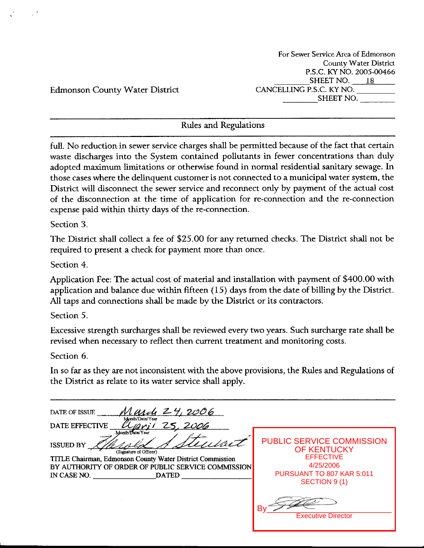For **Sewer Service Area** of Edmonson **County Water District P.S.C.** KYNO. **2005-00466**  SHEET NO.  $18$ **CANCELLING P.S.C.** KY NO. SHEET NO.

Edmonson County Water District

## Rules and Regulations

full. No reduction in sewer service charges shall be permitted because of the fact that certain waste discharges into the System contained pollutants in fewer concentrations than duly adopted maximum limitations or otherwise found in normal residential sanitary sewage. In those cases where the delinquent customer is not connected to a municipal water system, the District will disconnect the sewer service and reconnect only by payment of the actual cost of the disconnection at the time of application for re-connection and the re-connection expense paid within thirty days of the re-connection.

Section *3.* 

The District shall collect a fee of \$25.00 for any returned checks. The District shall not be required to present a check for payment more than once.

Section 4

Application Fee: The actual cost of material and installation with payment of \$400.00 with application and balance due within fifteen (15) days from the date of billing by the District. All taps and connections shall be made by the District or its contractors.

Section 5.

Excessive strength surcharges shall be reviewed every two years. Such surcharge rate shall be revised when necessary to reflect then current treatment and monitoring costs.

Section **6.** 

In so far as they are not inconsistent with the above provisions, the Rules and Regulations of the District as relate to its water service shall apply.

| <b>PUBLIC SERVICE COMMISSION</b><br>OF KENTUCKY<br><b>EFFECTIVE</b> |
|---------------------------------------------------------------------|
| 4/25/2006                                                           |
| PURSUANT TO 807 KAR 5:011<br>SECTION 9 (1)                          |
| В١<br><b>Executive Director</b>                                     |
|                                                                     |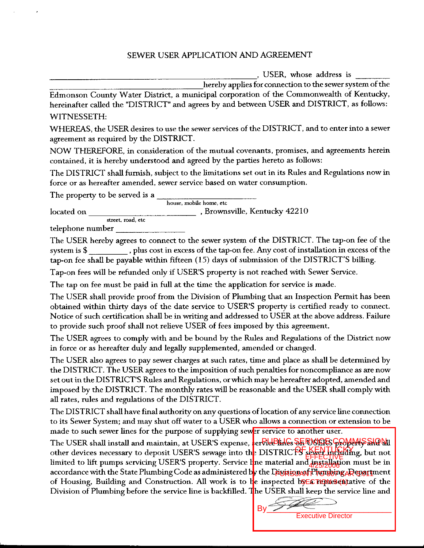#### SEWER USER APPLICATION AND AGREEMENT

, USER, whose address is

hereby applies for connection to the sewer system of the

Edmonson County Water District, a municipal corporation of the Commonwealth of Kentucky, hereinafter called the "DISTRICT" and agrees by and between USER and DISTRICT, as follows: WITNESSETH:

WHEREAS, the USER desires to use the sewer services of the DISTRICT, and to enter into a sewer agreement **as** required by the DISTRICT.

NOW THEREFORE, in consideration of the mutual covenants, promises, and agreements herein contained, it is hereby understood and agreed by the parties hereto as follows:

The DISTRICT shall furnish, subject to the limitations set out in its Rules and Regulations now in force or as hereafter amended, sewer service based on water consumption.

The property to be served is a

located on **house,** mobile **home, etc**  , Brownsville, Kentucky 42210 **street,** mad, **etc** 

telephone number

The USER hereby agrees to connect to the sewer system of the DISTRICT. The tap-on fee of the system is \$ , plus cost in excess of the tap-on fee. Any cost of installation in excess of the tap-on fee shall be payable within fifteen (15) days of submission of the DISTRICT'S billing.

Tap-on fees will be refunded only if USER'S property is not reached with Sewer Service.

The tap on fee must be paid in full at the time the application for service is made.

The USER shall provide proof from the Division of Plumbing that **an** Inspection Permit has been obtained within thirty days of the date service to USER'S property is certified ready to connect. Notice of such certification shall be in writing and addressed to USER at the above address. Failure to provide such proof shall not relieve USER of fees imposed by this agreement.

The USER agrees to comply with and be bound by the Rules and Regulations of the District now in force or as hereafter duly and legally supplemented, amended or changed.

The USER **also** agrees to pay sewer charges at **such** rates, time and place as shall be determined by the DISTRICT. The USER agrees to the imposition of **such** penalties for noncompliance as are now set out in the DISTRICT'S Rules and Regulations, or which may be hereafter adopted, amended and imposed by the DISTRICT. The monthly rates will be reasonable and the USER shall comply with all rates, rules and regulations of the DISTRICT.

The DISTRICT shall have final authority on any questions of location of any service line connection to its Sewer System; and may shut off water to a USER who allows a connection or extension to be made to such sewer lines for the purpose of supplying sewer service to another user.

The USER shall install and maintain, at USER'S expense, **{erRldBlinG SERVICES GOMMISSiON!** other devices necessary to deposit USER'S sewage into the DISTRICTS several helpding, but not limited to lift pumps servicing USER'S property. Service line material and installation must be in accordance with the State Plumbing Code as administered b<mark>y the Division of Phonbing, Repar</mark>tment of Housing, Building and Construction. All work is to be inspected by ECTIONES (matrice of the Division of Plumbing before the service line is backfilled. The USER shall keep the service line and EFFECTIVE